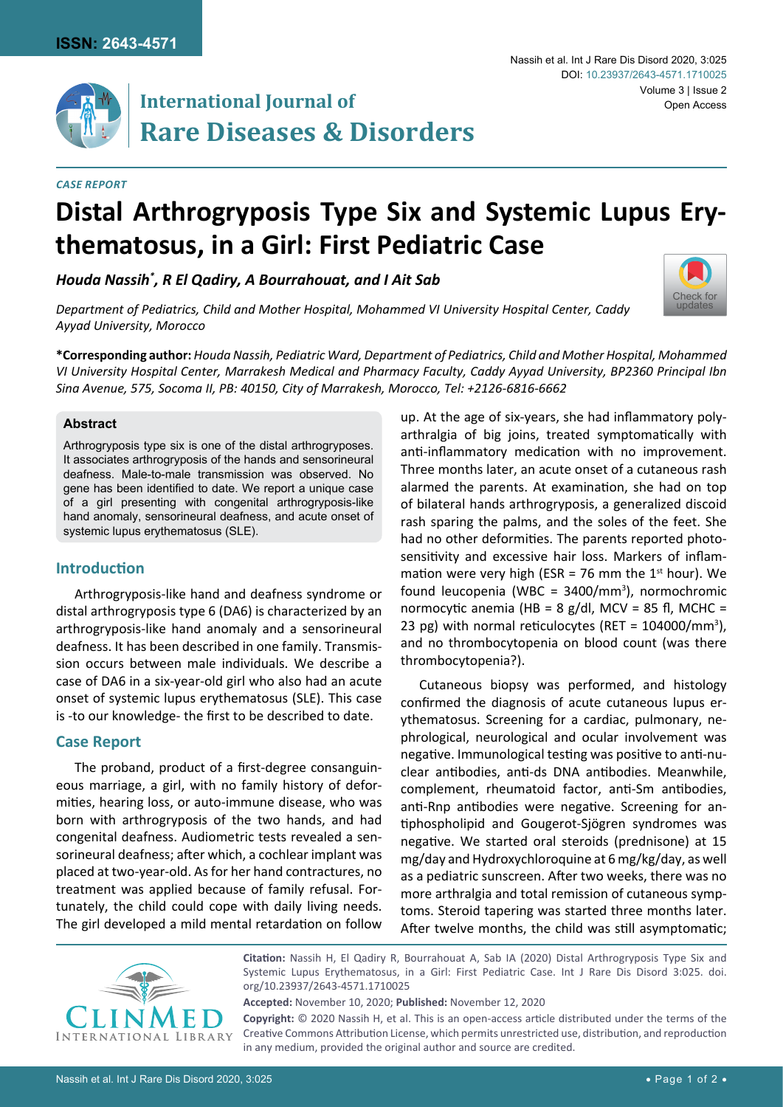

# **International Journal of** Open Access **Rare Diseases & Disorders**

**thematosus, in a Girl: First Pediatric Case**

*Houda Nassih\* , R El Qadiry, A Bourrahouat, and I Ait Sab*

#### *Case Report*

## Nassih et al. Int J Rare Dis Disord 2020, 3:025 Volume 3 | Issue 2 DOI: [10.23937/2643-4571.1710025](https://doi.org/10.23937/2643-4571.1710025)



*Department of Pediatrics, Child and Mother Hospital, Mohammed VI University Hospital Center, Caddy Ayyad University, Morocco*

**\*Corresponding author:** *Houda Nassih, Pediatric Ward, Department of Pediatrics, Child and Mother Hospital, Mohammed VI University Hospital Center, Marrakesh Medical and Pharmacy Faculty, Caddy Ayyad University, BP2360 Principal Ibn Sina Avenue, 575, Socoma II, PB: 40150, City of Marrakesh, Morocco, Tel: +2126-6816-6662*

**Distal Arthrogryposis Type Six and Systemic Lupus Ery-**

#### **Abstract**

Arthrogryposis type six is one of the distal arthrogryposes. It associates arthrogryposis of the hands and sensorineural deafness. Male-to-male transmission was observed. No gene has been identified to date. We report a unique case of a girl presenting with congenital arthrogryposis-like hand anomaly, sensorineural deafness, and acute onset of systemic lupus erythematosus (SLE).

#### **Introduction**

Arthrogryposis-like hand and deafness syndrome or distal arthrogryposis type 6 (DA6) is characterized by an arthrogryposis-like hand anomaly and a sensorineural deafness. It has been described in one family. Transmission occurs between male individuals. We describe a case of DA6 in a six-year-old girl who also had an acute onset of systemic lupus erythematosus (SLE). This case is -to our knowledge- the first to be described to date.

#### **Case Report**

The proband, product of a first-degree consanguineous marriage, a girl, with no family history of deformities, hearing loss, or auto-immune disease, who was born with arthrogryposis of the two hands, and had congenital deafness. Audiometric tests revealed a sensorineural deafness; after which, a cochlear implant was placed at two-year-old. As for her hand contractures, no treatment was applied because of family refusal. Fortunately, the child could cope with daily living needs. The girl developed a mild mental retardation on follow

up. At the age of six-years, she had inflammatory polyarthralgia of big joins, treated symptomatically with anti-inflammatory medication with no improvement. Three months later, an acute onset of a cutaneous rash alarmed the parents. At examination, she had on top of bilateral hands arthrogryposis, a generalized discoid rash sparing the palms, and the soles of the feet. She had no other deformities. The parents reported photosensitivity and excessive hair loss. Markers of inflammation were very high (ESR = 76 mm the  $1<sup>st</sup>$  hour). We found leucopenia (WBC =  $3400/mm^3$ ), normochromic normocytic anemia (HB =  $8$  g/dl, MCV =  $85$  fl, MCHC = 23 pg) with normal reticulocytes (RET =  $104000/mm^3$ ), and no thrombocytopenia on blood count (was there thrombocytopenia?).

Cutaneous biopsy was performed, and histology confirmed the diagnosis of acute cutaneous lupus erythematosus. Screening for a cardiac, pulmonary, nephrological, neurological and ocular involvement was negative. Immunological testing was positive to anti-nuclear antibodies, anti-ds DNA antibodies. Meanwhile, complement, rheumatoid factor, anti-Sm antibodies, anti-Rnp antibodies were negative. Screening for antiphospholipid and Gougerot-Sjögren syndromes was negative. We started oral steroids (prednisone) at 15 mg/day and Hydroxychloroquine at 6 mg/kg/day, as well as a pediatric sunscreen. After two weeks, there was no more arthralgia and total remission of cutaneous symptoms. Steroid tapering was started three months later. After twelve months, the child was still asymptomatic;



**Citation:** Nassih H, El Qadiry R, Bourrahouat A, Sab IA (2020) Distal Arthrogryposis Type Six and Systemic Lupus Erythematosus, in a Girl: First Pediatric Case. Int J Rare Dis Disord 3:025. [doi.](https://doi.org/10.23937/2643-4571.1710025) [org/10.23937/2643-4571.1710025](https://doi.org/10.23937/2643-4571.1710025)

**Accepted:** November 10, 2020; **Published:** November 12, 2020

**Copyright:** © 2020 Nassih H, et al. This is an open-access article distributed under the terms of the Creative Commons Attribution License, which permits unrestricted use, distribution, and reproduction in any medium, provided the original author and source are credited.